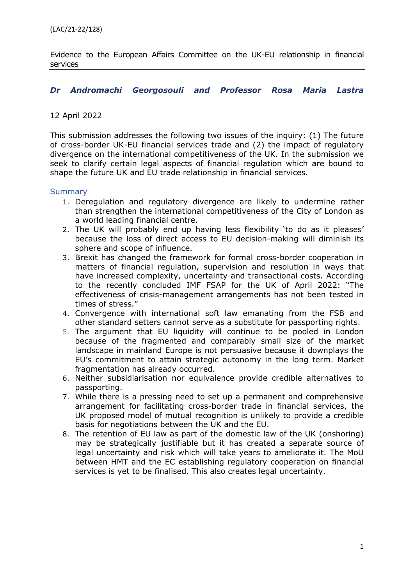Evidence to the European Affairs Committee on the UK-EU relationship in financial services

#### *Dr Andromachi Georgosouli and Professor Rosa Maria Lastra*

#### 12 April 2022

This submission addresses the following two issues of the inquiry: (1) The future of cross-border UK-EU financial services trade and (2) the impact of regulatory divergence on the international competitiveness of the UK. In the submission we seek to clarify certain legal aspects of financial regulation which are bound to shape the future UK and EU trade relationship in financial services.

#### <span id="page-0-0"></span>**Summary**

- 1. Deregulation and regulatory divergence are likely to undermine rather than strengthen the international competitiveness of the City of London as a world leading financial centre.
- 2. The UK will probably end up having less flexibility 'to do as it pleases' because the loss of direct access to EU decision-making will diminish its sphere and scope of influence.
- 3. Brexit has changed the framework for formal cross-border cooperation in matters of financial regulation, supervision and resolution in ways that have increased complexity, uncertainty and transactional costs. According to the recently concluded IMF FSAP for the UK of April 2022: "The effectiveness of crisis-management arrangements has not been tested in times of stress."
- 4. Convergence with international soft law emanating from the FSB and other standard setters cannot serve as a substitute for passporting rights.
- 5. The argument that EU liquidity will continue to be pooled in London because of the fragmented and comparably small size of the market landscape in mainland Europe is not persuasive because it downplays the EU's commitment to attain strategic autonomy in the long term. Market fragmentation has already occurred.
- 6. Neither subsidiarisation nor equivalence provide credible alternatives to passporting.
- 7. While there is a pressing need to set up a permanent and comprehensive arrangement for facilitating cross-border trade in financial services, the UK proposed model of mutual recognition is unlikely to provide a credible basis for negotiations between the UK and the EU.
- 8. The retention of EU law as part of the domestic law of the UK (onshoring) may be strategically justifiable but it has created a separate source of legal uncertainty and risk which will take years to ameliorate it. The MoU between HMT and the EC establishing regulatory cooperation on financial services is yet to be finalised. This also creates legal uncertainty.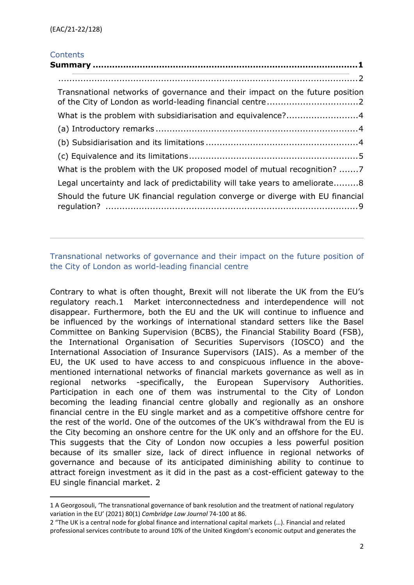# **Contents**

|  | Transnational networks of governance and their impact on the future position    |
|--|---------------------------------------------------------------------------------|
|  | What is the problem with subsidiarisation and equivalence?4                     |
|  |                                                                                 |
|  |                                                                                 |
|  |                                                                                 |
|  | What is the problem with the UK proposed model of mutual recognition? 7         |
|  | Legal uncertainty and lack of predictability will take years to ameliorate8     |
|  | Should the future UK financial regulation converge or diverge with EU financial |
|  |                                                                                 |

# <span id="page-1-1"></span><span id="page-1-0"></span>Transnational networks of governance and their impact on the future position of the City of London as world-leading financial centre

Contrary to what is often thought, Brexit will not liberate the UK from the EU's regulatory reach.1 Market interconnectedness and interdependence will not disappear. Furthermore, both the EU and the UK will continue to influence and be influenced by the workings of international standard setters like the Basel Committee on Banking Supervision (BCBS), the Financial Stability Board (FSB), the International Organisation of Securities Supervisors (IOSCO) and the International Association of Insurance Supervisors (IAIS). As a member of the EU, the UK used to have access to and conspicuous influence in the abovementioned international networks of financial markets governance as well as in regional networks -specifically, the European Supervisory Authorities. Participation in each one of them was instrumental to the City of London becoming the leading financial centre globally and regionally as an onshore financial centre in the EU single market and as a competitive offshore centre for the rest of the world. One of the outcomes of the UK's withdrawal from the EU is the City becoming an onshore centre for the UK only and an offshore for the EU. This suggests that the City of London now occupies a less powerful position because of its smaller size, lack of direct influence in regional networks of governance and because of its anticipated diminishing ability to continue to attract foreign investment as it did in the past as a cost-efficient gateway to the EU single financial market. 2

<sup>1</sup> A Georgosouli, 'The transnational governance of bank resolution and the treatment of national regulatory variation in the EU' (2021) 80(1) *Cambridge Law Journal* 74-100 at 86.

<sup>2</sup> "The UK is a central node for global finance and international capital markets (…). Financial and related professional services contribute to around 10% of the United Kingdom's economic output and generates the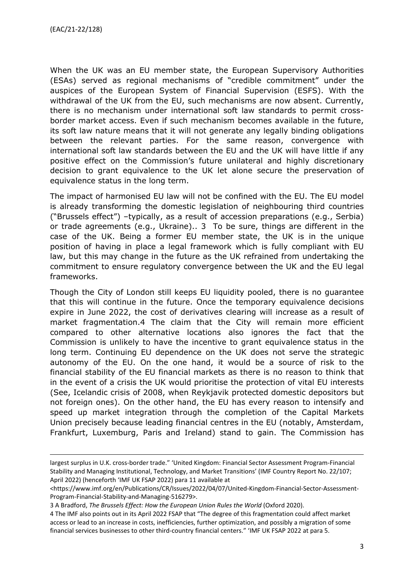When the UK was an EU member state, the European Supervisory Authorities (ESAs) served as regional mechanisms of "credible commitment" under the auspices of the European System of Financial Supervision (ESFS). With the withdrawal of the UK from the EU, such mechanisms are now absent. Currently, there is no mechanism under international soft law standards to permit crossborder market access. Even if such mechanism becomes available in the future, its soft law nature means that it will not generate any legally binding obligations between the relevant parties. For the same reason, convergence with international soft law standards between the EU and the UK will have little if any positive effect on the Commission's future unilateral and highly discretionary decision to grant equivalence to the UK let alone secure the preservation of equivalence status in the long term.

The impact of harmonised EU law will not be confined with the EU. The EU model is already transforming the domestic legislation of neighbouring third countries ("Brussels effect") –typically, as a result of accession preparations (e.g., Serbia) or trade agreements (e.g., Ukraine).. 3 To be sure, things are different in the case of the UK. Being a former EU member state, the UK is in the unique position of having in place a legal framework which is fully compliant with EU law, but this may change in the future as the UK refrained from undertaking the commitment to ensure regulatory convergence between the UK and the EU legal frameworks.

Though the City of London still keeps EU liquidity pooled, there is no guarantee that this will continue in the future. Once the temporary equivalence decisions expire in June 2022, the cost of derivatives clearing will increase as a result of market fragmentation.4 The claim that the City will remain more efficient compared to other alternative locations also ignores the fact that the Commission is unlikely to have the incentive to grant equivalence status in the long term. Continuing EU dependence on the UK does not serve the strategic autonomy of the EU. On the one hand, it would be a source of risk to the financial stability of the EU financial markets as there is no reason to think that in the event of a crisis the UK would prioritise the protection of vital EU interests (See, Icelandic crisis of 2008, when Reykjavik protected domestic depositors but not foreign ones). On the other hand, the EU has every reason to intensify and speed up market integration through the completion of the Capital Markets Union precisely because leading financial centres in the EU (notably, Amsterdam, Frankfurt, Luxemburg, Paris and Ireland) stand to gain. The Commission has

largest surplus in U.K. cross-border trade." 'United Kingdom: Financial Sector Assessment Program-Financial Stability and Managing Institutional, Technology, and Market Transitions' (IMF Country Report No. 22/107; April 2022) (henceforth 'IMF UK FSAP 2022) para 11 available at

<sup>&</sup>lt;https://www.imf.org/en/Publications/CR/Issues/2022/04/07/United-Kingdom-Financial-Sector-Assessment-Program-Financial-Stability-and-Managing-516279>.

<sup>3</sup> A Bradford, *The Brussels Effect: How the European Union Rules the World* (Oxford 2020).

<sup>4</sup> The IMF also points out in its April 2022 FSAP that "The degree of this fragmentation could affect market access or lead to an increase in costs, inefficiencies, further optimization, and possibly a migration of some financial services businesses to other third-country financial centers." 'IMF UK FSAP 2022 at para 5.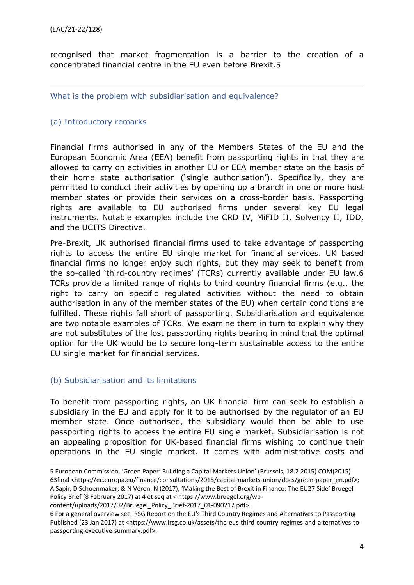recognised that market fragmentation is a barrier to the creation of a concentrated financial centre in the EU even before Brexit.5

<span id="page-3-0"></span>What is the problem with subsidiarisation and equivalence?

# <span id="page-3-1"></span>(a) Introductory remarks

Financial firms authorised in any of the Members States of the EU and the European Economic Area (EEA) benefit from passporting rights in that they are allowed to carry on activities in another EU or EEA member state on the basis of their home state authorisation ('single authorisation'). Specifically, they are permitted to conduct their activities by opening up a branch in one or more host member states or provide their services on a cross-border basis. Passporting rights are available to EU authorised firms under several key EU legal instruments. Notable examples include the CRD IV, MiFID II, Solvency II, IDD, and the UCITS Directive.

Pre-Brexit, UK authorised financial firms used to take advantage of passporting rights to access the entire EU single market for financial services. UK based financial firms no longer enjoy such rights, but they may seek to benefit from the so-called 'third-country regimes' (TCRs) currently available under EU law.6 TCRs provide a limited range of rights to third country financial firms (e.g., the right to carry on specific regulated activities without the need to obtain authorisation in any of the member states of the EU) when certain conditions are fulfilled. These rights fall short of passporting. Subsidiarisation and equivalence are two notable examples of TCRs. We examine them in turn to explain why they are not substitutes of the lost passporting rights bearing in mind that the optimal option for the UK would be to secure long-term sustainable access to the entire EU single market for financial services.

### <span id="page-3-2"></span>(b) Subsidiarisation and its limitations

To benefit from passporting rights, an UK financial firm can seek to establish a subsidiary in the EU and apply for it to be authorised by the regulator of an EU member state. Once authorised, the subsidiary would then be able to use passporting rights to access the entire EU single market. Subsidiarisation is not an appealing proposition for UK-based financial firms wishing to continue their operations in the EU single market. It comes with administrative costs and

content/uploads/2017/02/Bruegel\_Policy\_Brief-2017\_01-090217.pdf>.

<sup>5</sup> European Commission, 'Green Paper: Building a Capital Markets Union' (Brussels, 18.2.2015) COM(2015) 63final <https://ec.europa.eu/finance/consultations/2015/capital-markets-union/docs/green-paper\_en.pdf>; A Sapir, D Schoenmaker, & N Véron, N (2017), 'Making the Best of Brexit in Finance: The EU27 Side' Bruegel Policy Brief (8 February 2017) at 4 et seq at < https://www.bruegel.org/wp-

<sup>6</sup> For a general overview see IRSG Report on the EU's Third Country Regimes and Alternatives to Passporting Published (23 Jan 2017) at <https://www.irsg.co.uk/assets/the-eus-third-country-regimes-and-alternatives-topassporting-executive-summary.pdf>.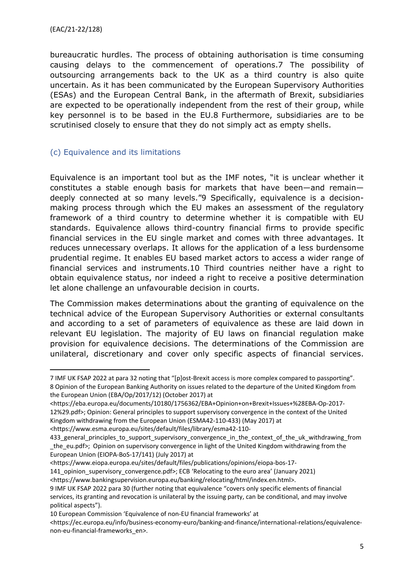bureaucratic hurdles. The process of obtaining authorisation is time consuming causing delays to the commencement of operations.7 The possibility of outsourcing arrangements back to the UK as a third country is also quite uncertain. As it has been communicated by the European Supervisory Authorities (ESAs) and the European Central Bank, in the aftermath of Brexit, subsidiaries are expected to be operationally independent from the rest of their group, while key personnel is to be based in the EU.8 Furthermore, subsidiaries are to be scrutinised closely to ensure that they do not simply act as empty shells.

### <span id="page-4-0"></span>(c) Equivalence and its limitations

Equivalence is an important tool but as the IMF notes, "it is unclear whether it constitutes a stable enough basis for markets that have been—and remain deeply connected at so many levels."9 Specifically, equivalence is a decisionmaking process through which the EU makes an assessment of the regulatory framework of a third country to determine whether it is compatible with EU standards. Equivalence allows third-country financial firms to provide specific financial services in the EU single market and comes with three advantages. It reduces unnecessary overlaps. It allows for the application of a less burdensome prudential regime. It enables EU based market actors to access a wider range of financial services and instruments.10 Third countries neither have a right to obtain equivalence status, nor indeed a right to receive a positive determination let alone challenge an unfavourable decision in courts.

The Commission makes determinations about the granting of equivalence on the technical advice of the European Supervisory Authorities or external consultants and according to a set of parameters of equivalence as these are laid down in relevant EU legislation. The majority of EU laws on financial regulation make provision for equivalence decisions. The determinations of the Commission are unilateral, discretionary and cover only specific aspects of financial services.

<https://www.eiopa.europa.eu/sites/default/files/publications/opinions/eiopa-bos-17-

141 opinion supervisory convergence.pdf>; ECB 'Relocating to the euro area' (January 2021)

<sup>7</sup> IMF UK FSAP 2022 at para 32 noting that "[p]ost-Brexit access is more complex compared to passporting". 8 Opinion of the European Banking Authority on issues related to the departure of the United Kingdom from the European Union (EBA/Op/2017/12) (October 2017) at

<sup>&</sup>lt;https://eba.europa.eu/documents/10180/1756362/EBA+Opinion+on+Brexit+Issues+%28EBA-Op-2017- 12%29.pdf>; Opinion: General principles to support supervisory convergence in the context of the United Kingdom withdrawing from the European Union (ESMA42-110-433) (May 2017) at

<sup>&</sup>lt;https://www.esma.europa.eu/sites/default/files/library/esma42-110-

<sup>433</sup> general principles to support supervisory convergence in the context of the uk withdrawing from the eu.pdf>; Opinion on supervisory convergence in light of the United Kingdom withdrawing from the European Union (EIOPA-BoS-17/141) (July 2017) at

<sup>&</sup>lt;https://www.bankingsupervision.europa.eu/banking/relocating/html/index.en.html>. 9 IMF UK FSAP 2022 para 30 (further noting that equivalence "covers only specific elements of financial

services, its granting and revocation is unilateral by the issuing party, can be conditional, and may involve political aspects").

<sup>10</sup> European Commission 'Equivalence of non-EU financial frameworks' at

<sup>&</sup>lt;https://ec.europa.eu/info/business-economy-euro/banking-and-finance/international-relations/equivalencenon-eu-financial-frameworks\_en>.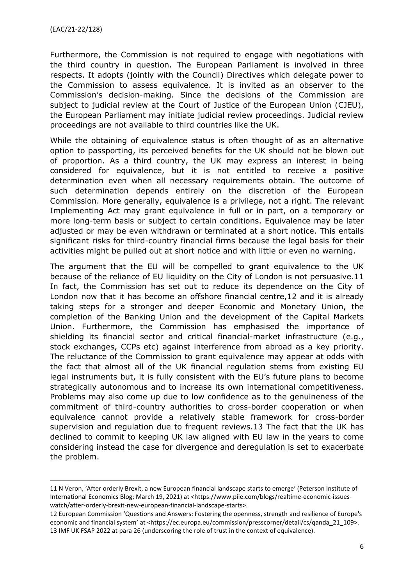Furthermore, the Commission is not required to engage with negotiations with the third country in question. The European Parliament is involved in three respects. It adopts (jointly with the Council) Directives which delegate power to the Commission to assess equivalence. It is invited as an observer to the Commission's decision-making. Since the decisions of the Commission are subject to judicial review at the Court of Justice of the European Union (CJEU), the European Parliament may initiate judicial review proceedings. Judicial review proceedings are not available to third countries like the UK.

While the obtaining of equivalence status is often thought of as an alternative option to passporting, its perceived benefits for the UK should not be blown out of proportion. As a third country, the UK may express an interest in being considered for equivalence, but it is not entitled to receive a positive determination even when all necessary requirements obtain. The outcome of such determination depends entirely on the discretion of the European Commission. More generally, equivalence is a privilege, not a right. The relevant Implementing Act may grant equivalence in full or in part, on a temporary or more long-term basis or subject to certain conditions. Equivalence may be later adjusted or may be even withdrawn or terminated at a short notice. This entails significant risks for third-country financial firms because the legal basis for their activities might be pulled out at short notice and with little or even no warning.

The argument that the EU will be compelled to grant equivalence to the UK because of the reliance of EU liquidity on the City of London is not persuasive.11 In fact, the Commission has set out to reduce its dependence on the City of London now that it has become an offshore financial centre,12 and it is already taking steps for a stronger and deeper Economic and Monetary Union, the completion of the Banking Union and the development of the Capital Markets Union. Furthermore, the Commission has emphasised the importance of shielding its financial sector and critical financial-market infrastructure (e.g., stock exchanges, CCPs etc) against interference from abroad as a key priority. The reluctance of the Commission to grant equivalence may appear at odds with the fact that almost all of the UK financial regulation stems from existing EU legal instruments but, it is fully consistent with the EU's future plans to become strategically autonomous and to increase its own international competitiveness. Problems may also come up due to low confidence as to the genuineness of the commitment of third-country authorities to cross-border cooperation or when equivalence cannot provide a relatively stable framework for cross-border supervision and regulation due to frequent reviews.13 The fact that the UK has declined to commit to keeping UK law aligned with EU law in the years to come considering instead the case for divergence and deregulation is set to exacerbate the problem.

<sup>11</sup> N Veron, 'After orderly Brexit, a new European financial landscape starts to emerge' (Peterson Institute of International Economics Blog; March 19, 2021) at <https://www.piie.com/blogs/realtime-economic-issueswatch/after-orderly-brexit-new-european-financial-landscape-starts>.

<sup>12</sup> European Commission 'Questions and Answers: Fostering the openness, strength and resilience of Europe's economic and financial system' at <https://ec.europa.eu/commission/presscorner/detail/cs/qanda\_21\_109>. 13 IMF UK FSAP 2022 at para 26 (underscoring the role of trust in the context of equivalence).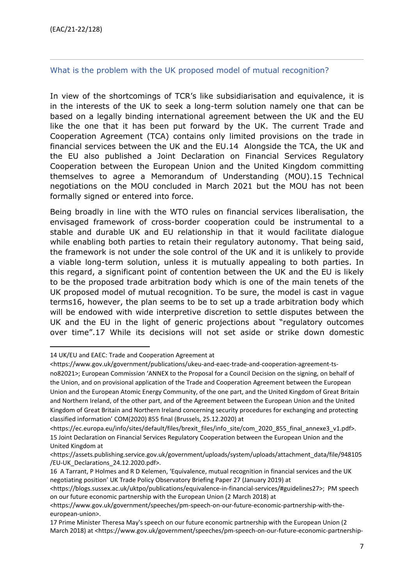#### <span id="page-6-0"></span>What is the problem with the UK proposed model of mutual recognition?

In view of the shortcomings of TCR's like subsidiarisation and equivalence, it is in the interests of the UK to seek a long-term solution namely one that can be based on a legally binding international agreement between the UK and the EU like the one that it has been put forward by the UK. The current Trade and Cooperation Agreement (TCA) contains only limited provisions on the trade in financial services between the UK and the EU.14 Alongside the TCA, the UK and the EU also published a Joint Declaration on Financial Services Regulatory Cooperation between the European Union and the United Kingdom committing themselves to agree a Memorandum of Understanding (MOU).15 Technical negotiations on the MOU concluded in March 2021 but the MOU has not been formally signed or entered into force.

Being broadly in line with the WTO rules on financial services liberalisation, the envisaged framework of cross-border cooperation could be instrumental to a stable and durable UK and EU relationship in that it would facilitate dialogue while enabling both parties to retain their regulatory autonomy. That being said, the framework is not under the sole control of the UK and it is unlikely to provide a viable long-term solution, unless it is mutually appealing to both parties. In this regard, a significant point of contention between the UK and the EU is likely to be the proposed trade arbitration body which is one of the main tenets of the UK proposed model of mutual recognition. To be sure, the model is cast in vague terms16, however, the plan seems to be to set up a trade arbitration body which will be endowed with wide interpretive discretion to settle disputes between the UK and the EU in the light of generic projections about "regulatory outcomes over time".17 While its decisions will not set aside or strike down domestic

<sup>14</sup> UK/EU and EAEC: Trade and Cooperation Agreement at

<sup>&</sup>lt;https://www.gov.uk/government/publications/ukeu-and-eaec-trade-and-cooperation-agreement-tsno82021>; European Commission 'ANNEX to the Proposal for a Council Decision on the signing, on behalf of the Union, and on provisional application of the Trade and Cooperation Agreement between the European Union and the European Atomic Energy Community, of the one part, and the United Kingdom of Great Britain and Northern Ireland, of the other part, and of the Agreement between the European Union and the United Kingdom of Great Britain and Northern Ireland concerning security procedures for exchanging and protecting classified information' COM(2020) 855 final (Brussels, 25.12.2020) at

<sup>&</sup>lt;https://ec.europa.eu/info/sites/default/files/brexit\_files/info\_site/com\_2020\_855\_final\_annexe3\_v1.pdf>. 15 Joint Declaration on Financial Services Regulatory Cooperation between the European Union and the United Kingdom at

<sup>&</sup>lt;https://assets.publishing.service.gov.uk/government/uploads/system/uploads/attachment\_data/file/948105 /EU-UK\_Declarations\_24.12.2020.pdf>.

<sup>16</sup> A Tarrant, P Holmes and R D Kelemen, 'Equivalence, mutual recognition in financial services and the UK negotiating position' UK Trade Policy Observatory Briefing Paper 27 (January 2019) at

<sup>&</sup>lt;https://blogs.sussex.ac.uk/uktpo/publications/equivalence-in-financial-services/#guidelines27>; PM speech on our future economic partnership with the European Union (2 March 2018) at

<sup>&</sup>lt;https://www.gov.uk/government/speeches/pm-speech-on-our-future-economic-partnership-with-theeuropean-union>.

<sup>17</sup> Prime Minister Theresa May's speech on our future economic partnership with the European Union (2 March 2018) at <https://www.gov.uk/government/speeches/pm-speech-on-our-future-economic-partnership-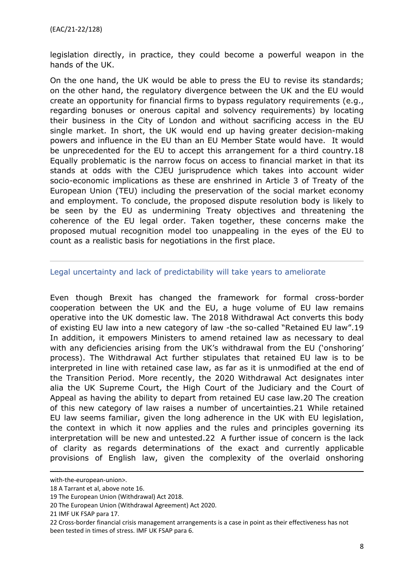legislation directly, in practice, they could become a powerful weapon in the hands of the UK.

On the one hand, the UK would be able to press the EU to revise its standards; on the other hand, the regulatory divergence between the UK and the EU would create an opportunity for financial firms to bypass regulatory requirements (e.g., regarding bonuses or onerous capital and solvency requirements) by locating their business in the City of London and without sacrificing access in the EU single market. In short, the UK would end up having greater decision-making powers and influence in the EU than an EU Member State would have. It would be unprecedented for the EU to accept this arrangement for a third country.18 Equally problematic is the narrow focus on access to financial market in that its stands at odds with the CJEU jurisprudence which takes into account wider socio-economic implications as these are enshrined in Article 3 of Treaty of the European Union (TEU) including the preservation of the social market economy and employment. To conclude, the proposed dispute resolution body is likely to be seen by the EU as undermining Treaty objectives and threatening the coherence of the EU legal order. Taken together, these concerns make the proposed mutual recognition model too unappealing in the eyes of the EU to count as a realistic basis for negotiations in the first place.

#### <span id="page-7-0"></span>Legal uncertainty and lack of predictability will take years to ameliorate

Even though Brexit has changed the framework for formal cross-border cooperation between the UK and the EU, a huge volume of EU law remains operative into the UK domestic law. The 2018 Withdrawal Act converts this body of existing EU law into a new category of law -the so-called "Retained EU law".19 In addition, it empowers Ministers to amend retained law as necessary to deal with any deficiencies arising from the UK's withdrawal from the EU ('onshoring' process). The Withdrawal Act further stipulates that retained EU law is to be interpreted in line with retained case law, as far as it is unmodified at the end of the Transition Period. More recently, the 2020 Withdrawal Act designates inter alia the UK Supreme Court, the High Court of the Judiciary and the Court of Appeal as having the ability to depart from retained EU case law.20 The creation of this new category of law raises a number of uncertainties.21 While retained EU law seems familiar, given the long adherence in the UK with EU legislation, the context in which it now applies and the rules and principles governing its interpretation will be new and untested.22 A further issue of concern is the lack of clarity as regards determinations of the exact and currently applicable provisions of English law, given the complexity of the overlaid onshoring

with-the-european-union>.

<sup>18</sup> A Tarrant et al, above note 16.

<sup>19</sup> The European Union (Withdrawal) Act 2018.

<sup>20</sup> The European Union (Withdrawal Agreement) Act 2020.

<sup>21</sup> IMF UK FSAP para 17.

<sup>22</sup> Cross-border financial crisis management arrangements is a case in point as their effectiveness has not been tested in times of stress. IMF UK FSAP para 6.